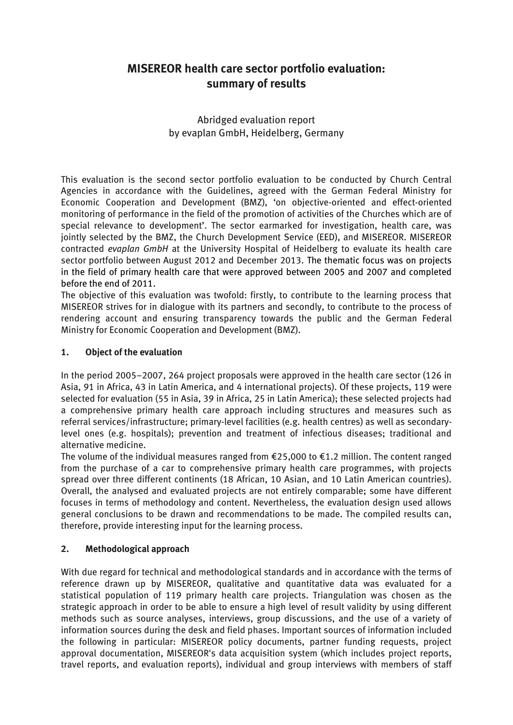# **MISEREOR health care sector portfolio evaluation: summary of results**

Abridged evaluation report by evaplan GmbH, Heidelberg, Germany

This evaluation is the second sector portfolio evaluation to be conducted by Church Central Agencies in accordance with the Guidelines, agreed with the German Federal Ministry for Economic Cooperation and Development (BMZ), 'on objective-oriented and effect-oriented monitoring of performance in the field of the promotion of activities of the Churches which are of special relevance to development'. The sector earmarked for investigation, health care, was jointly selected by the BMZ, the Church Development Service (EED), and MISEREOR. MISEREOR contracted *evaplan GmbH* at the University Hospital of Heidelberg to evaluate its health care sector portfolio between August 2012 and December 2013. The thematic focus was on projects in the field of primary health care that were approved between 2005 and 2007 and completed before the end of 2011.

The objective of this evaluation was twofold: firstly, to contribute to the learning process that MISEREOR strives for in dialogue with its partners and secondly, to contribute to the process of rendering account and ensuring transparency towards the public and the German Federal Ministry for Economic Cooperation and Development (BMZ).

# **1. Object of the evaluation**

In the period 2005–2007, 264 project proposals were approved in the health care sector (126 in Asia, 91 in Africa, 43 in Latin America, and 4 international projects). Of these projects, 119 were selected for evaluation (55 in Asia, 39 in Africa, 25 in Latin America); these selected projects had a comprehensive primary health care approach including structures and measures such as referral services/infrastructure; primary-level facilities (e.g. health centres) as well as secondarylevel ones (e.g. hospitals); prevention and treatment of infectious diseases; traditional and alternative medicine.

The volume of the individual measures ranged from €25,000 to €1.2 million. The content ranged from the purchase of a car to comprehensive primary health care programmes, with projects spread over three different continents (18 African, 10 Asian, and 10 Latin American countries). Overall, the analysed and evaluated projects are not entirely comparable; some have different focuses in terms of methodology and content. Nevertheless, the evaluation design used allows general conclusions to be drawn and recommendations to be made. The compiled results can, therefore, provide interesting input for the learning process.

## **2. Methodological approach**

With due regard for technical and methodological standards and in accordance with the terms of reference drawn up by MISEREOR, qualitative and quantitative data was evaluated for a statistical population of 119 primary health care projects. Triangulation was chosen as the strategic approach in order to be able to ensure a high level of result validity by using different methods such as source analyses, interviews, group discussions, and the use of a variety of information sources during the desk and field phases. Important sources of information included the following in particular: MISEREOR policy documents, partner funding requests, project approval documentation, MISEREOR's data acquisition system (which includes project reports, travel reports, and evaluation reports), individual and group interviews with members of staff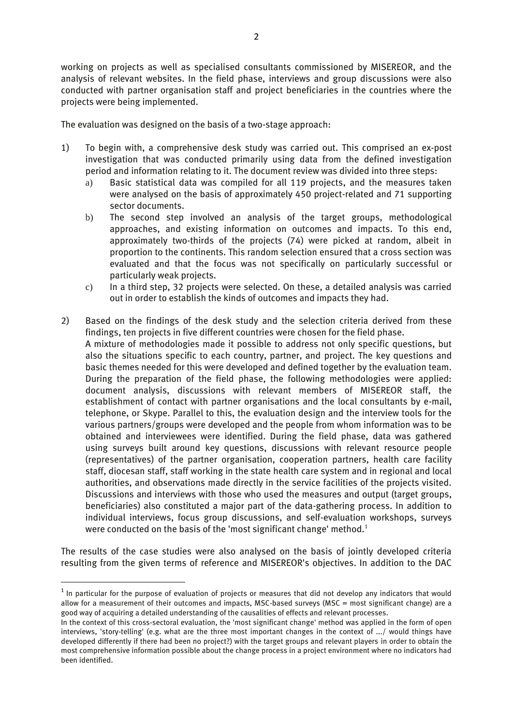working on projects as well as specialised consultants commissioned by MISEREOR, and the analysis of relevant websites. In the field phase, interviews and group discussions were also conducted with partner organisation staff and project beneficiaries in the countries where the projects were being implemented.

The evaluation was designed on the basis of a two-stage approach:

- 1) To begin with, a comprehensive desk study was carried out. This comprised an ex-post investigation that was conducted primarily using data from the defined investigation period and information relating to it. The document review was divided into three steps:
	- a) Basic statistical data was compiled for all 119 projects, and the measures taken were analysed on the basis of approximately 450 project-related and 71 supporting sector documents.
	- b) The second step involved an analysis of the target groups, methodological approaches, and existing information on outcomes and impacts. To this end, approximately two-thirds of the projects (74) were picked at random, albeit in proportion to the continents. This random selection ensured that a cross section was evaluated and that the focus was not specifically on particularly successful or particularly weak projects.
	- c) In a third step, 32 projects were selected. On these, a detailed analysis was carried out in order to establish the kinds of outcomes and impacts they had.
- 2) Based on the findings of the desk study and the selection criteria derived from these findings, ten projects in five different countries were chosen for the field phase. A mixture of methodologies made it possible to address not only specific questions, but also the situations specific to each country, partner, and project. The key questions and basic themes needed for this were developed and defined together by the evaluation team. During the preparation of the field phase, the following methodologies were applied: document analysis, discussions with relevant members of MISEREOR staff, the establishment of contact with partner organisations and the local consultants by e-mail, telephone, or Skype. Parallel to this, the evaluation design and the interview tools for the various partners/groups were developed and the people from whom information was to be obtained and interviewees were identified. During the field phase, data was gathered using surveys built around key questions, discussions with relevant resource people (representatives) of the partner organisation, cooperation partners, health care facility staff, diocesan staff, staff working in the state health care system and in regional and local authorities, and observations made directly in the service facilities of the projects visited. Discussions and interviews with those who used the measures and output (target groups, beneficiaries) also constituted a major part of the data-gathering process. In addition to individual interviews, focus group discussions, and self-evaluation workshops, surveys were conducted on the basis of the 'most significant change' method.<sup>1</sup>

The results of the case studies were also analysed on the basis of jointly developed criteria resulting from the given terms of reference and MISEREOR's objectives. In addition to the DAC

1

 $^{\text{1}}$  In particular for the purpose of evaluation of projects or measures that did not develop any indicators that would allow for a measurement of their outcomes and impacts, MSC-based surveys (MSC = most significant change) are a good way of acquiring a detailed understanding of the causalities of effects and relevant processes.

In the context of this cross-sectoral evaluation, the 'most significant change' method was applied in the form of open interviews, 'story-telling' (e.g. what are the three most important changes in the context of .../ would things have developed differently if there had been no project?) with the target groups and relevant players in order to obtain the most comprehensive information possible about the change process in a project environment where no indicators had been identified.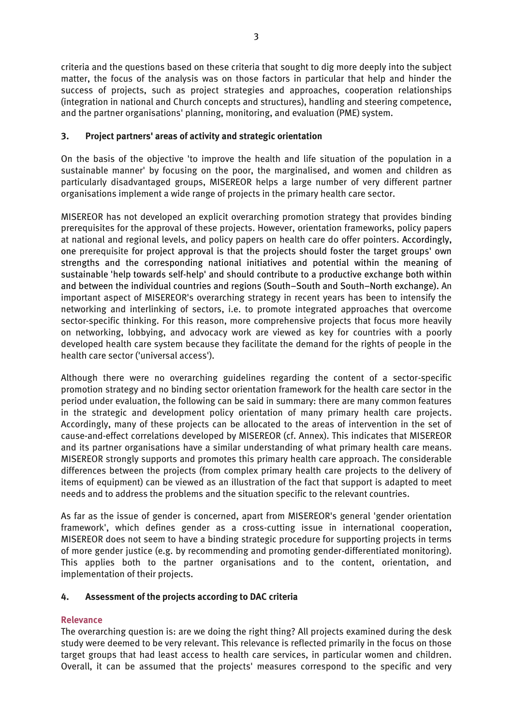criteria and the questions based on these criteria that sought to dig more deeply into the subject matter, the focus of the analysis was on those factors in particular that help and hinder the success of projects, such as project strategies and approaches, cooperation relationships (integration in national and Church concepts and structures), handling and steering competence, and the partner organisations' planning, monitoring, and evaluation (PME) system.

## **3. Project partners' areas of activity and strategic orientation**

On the basis of the objective 'to improve the health and life situation of the population in a sustainable manner' by focusing on the poor, the marginalised, and women and children as particularly disadvantaged groups, MISEREOR helps a large number of very different partner organisations implement a wide range of projects in the primary health care sector.

MISEREOR has not developed an explicit overarching promotion strategy that provides binding prerequisites for the approval of these projects. However, orientation frameworks, policy papers at national and regional levels, and policy papers on health care do offer pointers. Accordingly, one prerequisite for project approval is that the projects should foster the target groups' own strengths and the corresponding national initiatives and potential within the meaning of sustainable 'help towards self-help' and should contribute to a productive exchange both within and between the individual countries and regions (South–South and South–North exchange). An important aspect of MISEREOR's overarching strategy in recent years has been to intensify the networking and interlinking of sectors, i.e. to promote integrated approaches that overcome sector-specific thinking. For this reason, more comprehensive projects that focus more heavily on networking, lobbying, and advocacy work are viewed as key for countries with a poorly developed health care system because they facilitate the demand for the rights of people in the health care sector ('universal access').

Although there were no overarching guidelines regarding the content of a sector-specific promotion strategy and no binding sector orientation framework for the health care sector in the period under evaluation, the following can be said in summary: there are many common features in the strategic and development policy orientation of many primary health care projects. Accordingly, many of these projects can be allocated to the areas of intervention in the set of cause-and-effect correlations developed by MISEREOR (cf. Annex). This indicates that MISEREOR and its partner organisations have a similar understanding of what primary health care means. MISEREOR strongly supports and promotes this primary health care approach. The considerable differences between the projects (from complex primary health care projects to the delivery of items of equipment) can be viewed as an illustration of the fact that support is adapted to meet needs and to address the problems and the situation specific to the relevant countries.

As far as the issue of gender is concerned, apart from MISEREOR's general 'gender orientation framework', which defines gender as a cross-cutting issue in international cooperation, MISEREOR does not seem to have a binding strategic procedure for supporting projects in terms of more gender justice (e.g. by recommending and promoting gender-differentiated monitoring). This applies both to the partner organisations and to the content, orientation, and implementation of their projects.

## **4. Assessment of the projects according to DAC criteria**

## **Relevance**

The overarching question is: are we doing the right thing? All projects examined during the desk study were deemed to be very relevant. This relevance is reflected primarily in the focus on those target groups that had least access to health care services, in particular women and children. Overall, it can be assumed that the projects' measures correspond to the specific and very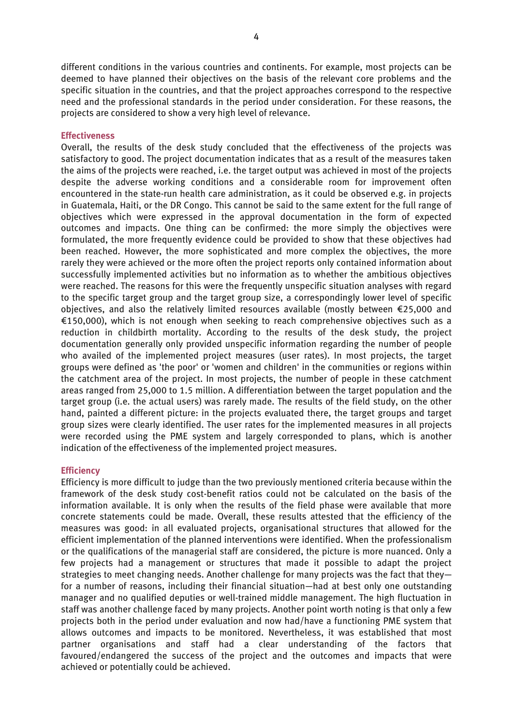different conditions in the various countries and continents. For example, most projects can be deemed to have planned their objectives on the basis of the relevant core problems and the specific situation in the countries, and that the project approaches correspond to the respective need and the professional standards in the period under consideration. For these reasons, the projects are considered to show a very high level of relevance.

#### **Effectiveness**

Overall, the results of the desk study concluded that the effectiveness of the projects was satisfactory to good. The project documentation indicates that as a result of the measures taken the aims of the projects were reached, i.e. the target output was achieved in most of the projects despite the adverse working conditions and a considerable room for improvement often encountered in the state-run health care administration, as it could be observed e.g. in projects in Guatemala, Haiti, or the DR Congo. This cannot be said to the same extent for the full range of objectives which were expressed in the approval documentation in the form of expected outcomes and impacts. One thing can be confirmed: the more simply the objectives were formulated, the more frequently evidence could be provided to show that these objectives had been reached. However, the more sophisticated and more complex the objectives, the more rarely they were achieved or the more often the project reports only contained information about successfully implemented activities but no information as to whether the ambitious objectives were reached. The reasons for this were the frequently unspecific situation analyses with regard to the specific target group and the target group size, a correspondingly lower level of specific objectives, and also the relatively limited resources available (mostly between €25,000 and €150,000), which is not enough when seeking to reach comprehensive objectives such as a reduction in childbirth mortality. According to the results of the desk study, the project documentation generally only provided unspecific information regarding the number of people who availed of the implemented project measures (user rates). In most projects, the target groups were defined as 'the poor' or 'women and children' in the communities or regions within the catchment area of the project. In most projects, the number of people in these catchment areas ranged from 25,000 to 1.5 million. A differentiation between the target population and the target group (i.e. the actual users) was rarely made. The results of the field study, on the other hand, painted a different picture: in the projects evaluated there, the target groups and target group sizes were clearly identified. The user rates for the implemented measures in all projects were recorded using the PME system and largely corresponded to plans, which is another indication of the effectiveness of the implemented project measures.

#### **Efficiency**

Efficiency is more difficult to judge than the two previously mentioned criteria because within the framework of the desk study cost-benefit ratios could not be calculated on the basis of the information available. It is only when the results of the field phase were available that more concrete statements could be made. Overall, these results attested that the efficiency of the measures was good: in all evaluated projects, organisational structures that allowed for the efficient implementation of the planned interventions were identified. When the professionalism or the qualifications of the managerial staff are considered, the picture is more nuanced. Only a few projects had a management or structures that made it possible to adapt the project strategies to meet changing needs. Another challenge for many projects was the fact that they for a number of reasons, including their financial situation—had at best only one outstanding manager and no qualified deputies or well-trained middle management. The high fluctuation in staff was another challenge faced by many projects. Another point worth noting is that only a few projects both in the period under evaluation and now had/have a functioning PME system that allows outcomes and impacts to be monitored. Nevertheless, it was established that most partner organisations and staff had a clear understanding of the factors that favoured/endangered the success of the project and the outcomes and impacts that were achieved or potentially could be achieved.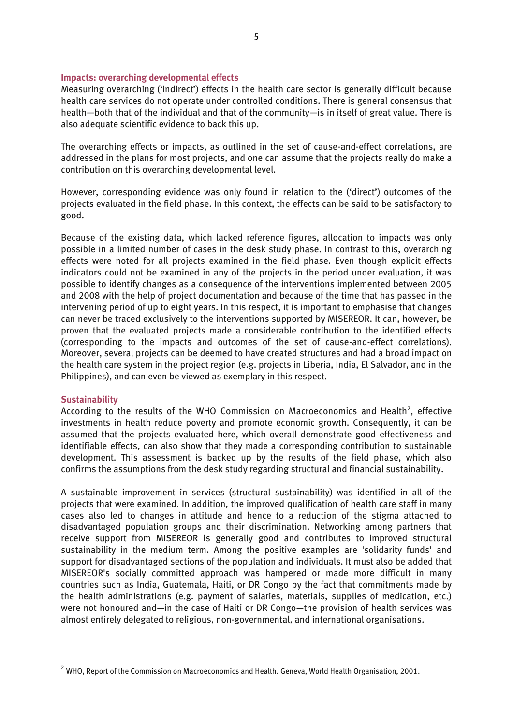#### **Impacts: overarching developmental effects**

Measuring overarching ('indirect') effects in the health care sector is generally difficult because health care services do not operate under controlled conditions. There is general consensus that health—both that of the individual and that of the community—is in itself of great value. There is also adequate scientific evidence to back this up.

The overarching effects or impacts, as outlined in the set of cause-and-effect correlations, are addressed in the plans for most projects, and one can assume that the projects really do make a contribution on this overarching developmental level.

However, corresponding evidence was only found in relation to the ('direct') outcomes of the projects evaluated in the field phase. In this context, the effects can be said to be satisfactory to good.

Because of the existing data, which lacked reference figures, allocation to impacts was only possible in a limited number of cases in the desk study phase. In contrast to this, overarching effects were noted for all projects examined in the field phase. Even though explicit effects indicators could not be examined in any of the projects in the period under evaluation, it was possible to identify changes as a consequence of the interventions implemented between 2005 and 2008 with the help of project documentation and because of the time that has passed in the intervening period of up to eight years. In this respect, it is important to emphasise that changes can never be traced exclusively to the interventions supported by MISEREOR. It can, however, be proven that the evaluated projects made a considerable contribution to the identified effects (corresponding to the impacts and outcomes of the set of cause-and-effect correlations). Moreover, several projects can be deemed to have created structures and had a broad impact on the health care system in the project region (e.g. projects in Liberia, India, El Salvador, and in the Philippines), and can even be viewed as exemplary in this respect.

#### **Sustainability**

-

According to the results of the WHO Commission on Macroeconomics and Health<sup>2</sup>, effective investments in health reduce poverty and promote economic growth. Consequently, it can be assumed that the projects evaluated here, which overall demonstrate good effectiveness and identifiable effects, can also show that they made a corresponding contribution to sustainable development. This assessment is backed up by the results of the field phase, which also confirms the assumptions from the desk study regarding structural and financial sustainability.

A sustainable improvement in services (structural sustainability) was identified in all of the projects that were examined. In addition, the improved qualification of health care staff in many cases also led to changes in attitude and hence to a reduction of the stigma attached to disadvantaged population groups and their discrimination. Networking among partners that receive support from MISEREOR is generally good and contributes to improved structural sustainability in the medium term. Among the positive examples are 'solidarity funds' and support for disadvantaged sections of the population and individuals. It must also be added that MISEREOR's socially committed approach was hampered or made more difficult in many countries such as India, Guatemala, Haiti, or DR Congo by the fact that commitments made by the health administrations (e.g. payment of salaries, materials, supplies of medication, etc.) were not honoured and—in the case of Haiti or DR Congo—the provision of health services was almost entirely delegated to religious, non-governmental, and international organisations.

 $^2$  WHO, Report of the Commission on Macroeconomics and Health. Geneva, World Health Organisation, 2001.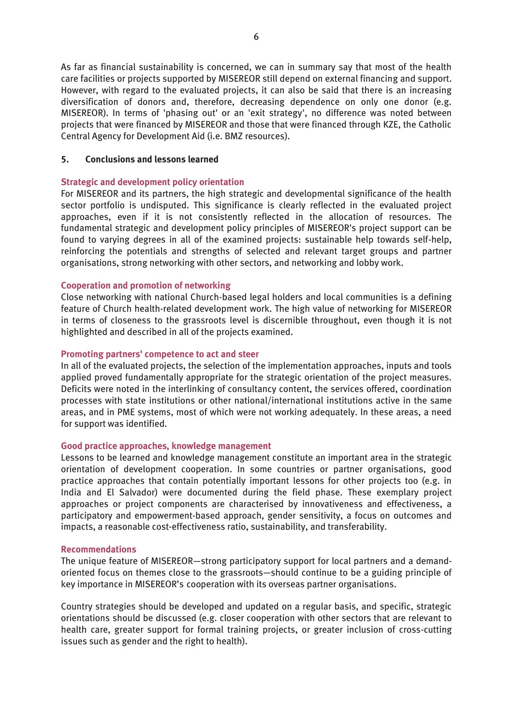As far as financial sustainability is concerned, we can in summary say that most of the health care facilities or projects supported by MISEREOR still depend on external financing and support. However, with regard to the evaluated projects, it can also be said that there is an increasing diversification of donors and, therefore, decreasing dependence on only one donor (e.g. MISEREOR). In terms of 'phasing out' or an 'exit strategy', no difference was noted between projects that were financed by MISEREOR and those that were financed through KZE, the Catholic Central Agency for Development Aid (i.e. BMZ resources).

### **5. Conclusions and lessons learned**

### **Strategic and development policy orientation**

For MISEREOR and its partners, the high strategic and developmental significance of the health sector portfolio is undisputed. This significance is clearly reflected in the evaluated project approaches, even if it is not consistently reflected in the allocation of resources. The fundamental strategic and development policy principles of MISEREOR's project support can be found to varying degrees in all of the examined projects: sustainable help towards self-help, reinforcing the potentials and strengths of selected and relevant target groups and partner organisations, strong networking with other sectors, and networking and lobby work.

## **Cooperation and promotion of networking**

Close networking with national Church-based legal holders and local communities is a defining feature of Church health-related development work. The high value of networking for MISEREOR in terms of closeness to the grassroots level is discernible throughout, even though it is not highlighted and described in all of the projects examined.

## **Promoting partners' competence to act and steer**

In all of the evaluated projects, the selection of the implementation approaches, inputs and tools applied proved fundamentally appropriate for the strategic orientation of the project measures. Deficits were noted in the interlinking of consultancy content, the services offered, coordination processes with state institutions or other national/international institutions active in the same areas, and in PME systems, most of which were not working adequately. In these areas, a need for support was identified.

## **Good practice approaches, knowledge management**

Lessons to be learned and knowledge management constitute an important area in the strategic orientation of development cooperation. In some countries or partner organisations, good practice approaches that contain potentially important lessons for other projects too (e.g. in India and El Salvador) were documented during the field phase. These exemplary project approaches or project components are characterised by innovativeness and effectiveness, a participatory and empowerment-based approach, gender sensitivity, a focus on outcomes and impacts, a reasonable cost-effectiveness ratio, sustainability, and transferability.

#### **Recommendations**

The unique feature of MISEREOR—strong participatory support for local partners and a demandoriented focus on themes close to the grassroots—should continue to be a guiding principle of key importance in MISEREOR's cooperation with its overseas partner organisations.

Country strategies should be developed and updated on a regular basis, and specific, strategic orientations should be discussed (e.g. closer cooperation with other sectors that are relevant to health care, greater support for formal training projects, or greater inclusion of cross-cutting issues such as gender and the right to health).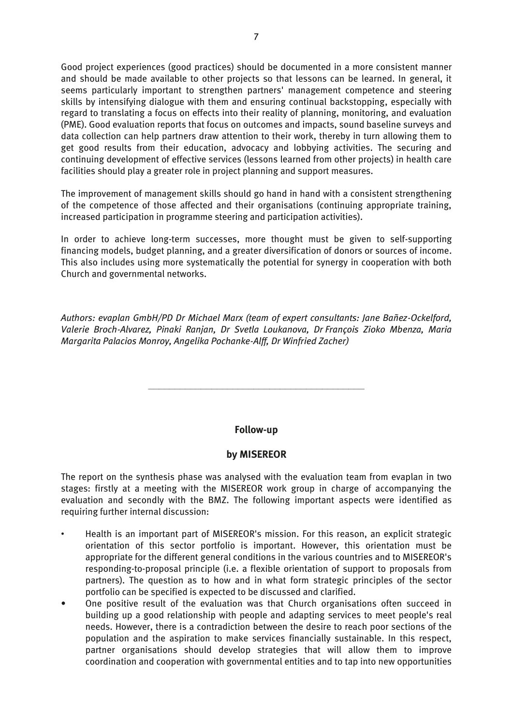Good project experiences (good practices) should be documented in a more consistent manner and should be made available to other projects so that lessons can be learned. In general, it seems particularly important to strengthen partners' management competence and steering skills by intensifying dialogue with them and ensuring continual backstopping, especially with regard to translating a focus on effects into their reality of planning, monitoring, and evaluation (PME). Good evaluation reports that focus on outcomes and impacts, sound baseline surveys and data collection can help partners draw attention to their work, thereby in turn allowing them to get good results from their education, advocacy and lobbying activities. The securing and continuing development of effective services (lessons learned from other projects) in health care facilities should play a greater role in project planning and support measures.

The improvement of management skills should go hand in hand with a consistent strengthening of the competence of those affected and their organisations (continuing appropriate training, increased participation in programme steering and participation activities).

In order to achieve long-term successes, more thought must be given to self-supporting financing models, budget planning, and a greater diversification of donors or sources of income. This also includes using more systematically the potential for synergy in cooperation with both Church and governmental networks.

*Authors: evaplan GmbH/PD Dr Michael Marx (team of expert consultants: Jane Bañez-Ockelford, Valerie Broch-Alvarez, Pinaki Ranjan, Dr Svetla Loukanova, Dr François Zioko Mbenza, Maria Margarita Palacios Monroy, Angelika Pochanke-Alff, Dr Winfried Zacher)*

## **Follow-up**

**\_\_\_\_\_\_\_\_\_\_\_\_\_\_\_\_\_\_\_\_\_\_\_\_\_\_\_\_\_\_\_\_\_\_\_\_\_\_\_\_\_**

## **by MISEREOR**

The report on the synthesis phase was analysed with the evaluation team from evaplan in two stages: firstly at a meeting with the MISEREOR work group in charge of accompanying the evaluation and secondly with the BMZ. The following important aspects were identified as requiring further internal discussion:

- Health is an important part of MISEREOR's mission. For this reason, an explicit strategic orientation of this sector portfolio is important. However, this orientation must be appropriate for the different general conditions in the various countries and to MISEREOR's responding-to-proposal principle (i.e. a flexible orientation of support to proposals from partners). The question as to how and in what form strategic principles of the sector portfolio can be specified is expected to be discussed and clarified.
- One positive result of the evaluation was that Church organisations often succeed in building up a good relationship with people and adapting services to meet people's real needs. However, there is a contradiction between the desire to reach poor sections of the population and the aspiration to make services financially sustainable. In this respect, partner organisations should develop strategies that will allow them to improve coordination and cooperation with governmental entities and to tap into new opportunities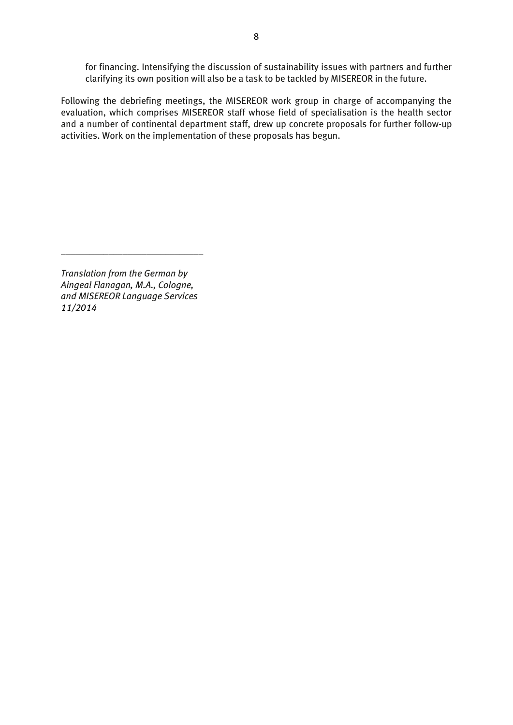for financing. Intensifying the discussion of sustainability issues with partners and further clarifying its own position will also be a task to be tackled by MISEREOR in the future.

Following the debriefing meetings, the MISEREOR work group in charge of accompanying the evaluation, which comprises MISEREOR staff whose field of specialisation is the health sector and a number of continental department staff, drew up concrete proposals for further follow-up activities. Work on the implementation of these proposals has begun.

*Translation from the German by Aingeal Flanagan, M.A., Cologne, and MISEREOR Language Services 11/2014*

\_\_\_\_\_\_\_\_\_\_\_\_\_\_\_\_\_\_\_\_\_\_\_\_\_\_\_\_\_\_